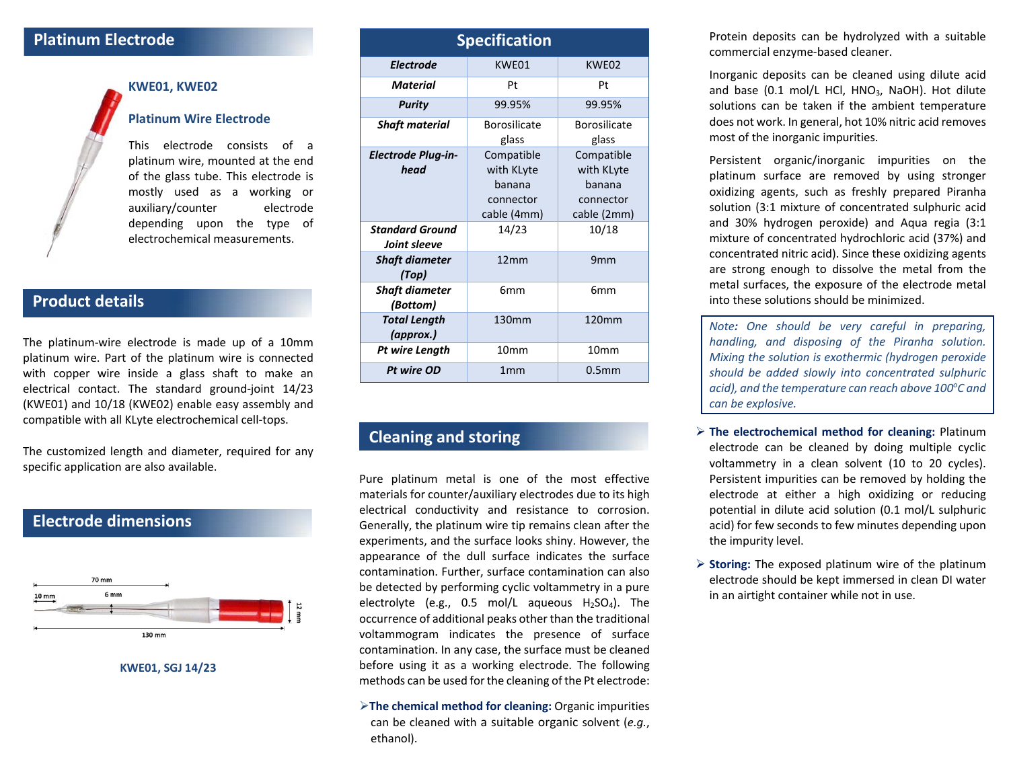#### **Platinum Electrode**



## **KWE01, KWE02**

#### **Platinum Wire Electrode**

This electrode consists of <sup>a</sup> platinum wire, mounted at the end of the glass tube. This electrode is mostly used as <sup>a</sup> working or auxiliary/counter electrode depending upon the type of electrochemical measurements.

### **Product details**

The platinum‐wire electrode is made up of <sup>a</sup> 10mm platinum wire. Part of the platinum wire is connected with copper wire inside <sup>a</sup> glass shaft to make an electrical contact. The standard ground‐joint 14/23 (KWE01) and 10/18 (KWE02) enable easy assembly and compatible with all KLyte electrochemical cell‐tops.

The customized length and diameter, required for any specific application are also available.

#### **Electrode dimensions**



**KWE01, SGJ 14/23**

| <b>Specification</b>                   |                                                                |                                                                |
|----------------------------------------|----------------------------------------------------------------|----------------------------------------------------------------|
| <b>Electrode</b>                       | KWE01                                                          | KWE02                                                          |
| Material                               | Pt                                                             | Pt                                                             |
| <b>Purity</b>                          | 99.95%                                                         | 99.95%                                                         |
| <b>Shaft material</b>                  | Borosilicate<br>glass                                          | Borosilicate<br>glass                                          |
| <b>Electrode Plug-in-</b><br>head      | Compatible<br>with KLyte<br>banana<br>connector<br>cable (4mm) | Compatible<br>with KLyte<br>banana<br>connector<br>cable (2mm) |
| <b>Standard Ground</b><br>Joint sleeve | 14/23                                                          | 10/18                                                          |
| <b>Shaft diameter</b><br>(Top)         | 12mm                                                           | 9 <sub>mm</sub>                                                |
| <b>Shaft diameter</b><br>(Bottom)      | 6 <sub>mm</sub>                                                | 6 <sub>mm</sub>                                                |
| <b>Total Length</b><br>(approx.)       | 130mm                                                          | 120mm                                                          |
| Pt wire Length                         | 10 <sub>mm</sub>                                               | 10 <sub>mm</sub>                                               |
| Pt wire OD                             | 1mm                                                            | 0.5 <sub>mm</sub>                                              |

### **Cleaning and storing**

Pure platinum metal is one of the most effective materials for counter/auxiliary electrodes due to its high electrical conductivity and resistance to corrosion. Generally, the platinum wire tip remains clean after the experiments, and the surface looks shiny. However, the appearance of the dull surface indicates the surface contamination. Further, surface contamination can also be detected by performing cyclic voltammetry in <sup>a</sup> pure electrolyte (e.g., 0.5 mol/L aqueous H2SO4). The occurrence of additional peaks other than the traditional voltammogram indicates the presence of surface contamination. In any case, the surface must be cleaned before using it as <sup>a</sup> working electrode. The following methods can be used for the cleaning of the Pt electrode:

**The chemical method for cleaning:** Organic impurities can be cleaned with <sup>a</sup> suitable organic solvent (*e.g.*, ethanol).

Protein deposits can be hydrolyzed with <sup>a</sup> suitable commercial enzyme‐based cleaner.

Inorganic deposits can be cleaned using dilute acid and base (0.1 mol/L HCl, HNO<sub>3</sub>, NaOH). Hot dilute solutions can be taken if the ambient temperature does not work. In general, hot 10% nitric acid removes most of the inorganic impurities.

Persistent organic/inorganic impurities on the platinum surface are removed by using stronger oxidizing agents, such as freshly prepared Piranha solution (3:1 mixture of concentrated sulphuric acid and 30% hydrogen peroxide) and Aqua regia (3:1 mixture of concentrated hydrochloric acid (37%) and concentrated nitric acid). Since these oxidizing agents are strong enough to dissolve the metal from the metal surfaces, the exposure of the electrode metal into these solutions should be minimized.

*Note: One should be very careful in preparing, handling, and disposing of the Piranha solution. Mixing the solution is exothermic (hydrogen peroxide should be added slowly into concentrated sulphuric acid), and the temperature can reach above 100o C and can be explosive.*

- **The electrochemical method for cleaning:** Platinum electrode can be cleaned by doing multiple cyclic voltammetry in <sup>a</sup> clean solvent (10 to 20 cycles). Persistent impurities can be removed by holding the electrode at either <sup>a</sup> high oxidizing or reducing potential in dilute acid solution (0.1 mol/L sulphuric acid) for few seconds to few minutes depending upon the impurity level.
- **Storing:** The exposed platinum wire of the platinum electrode should be kept immersed in clean DI water in an airtight container while not in use.